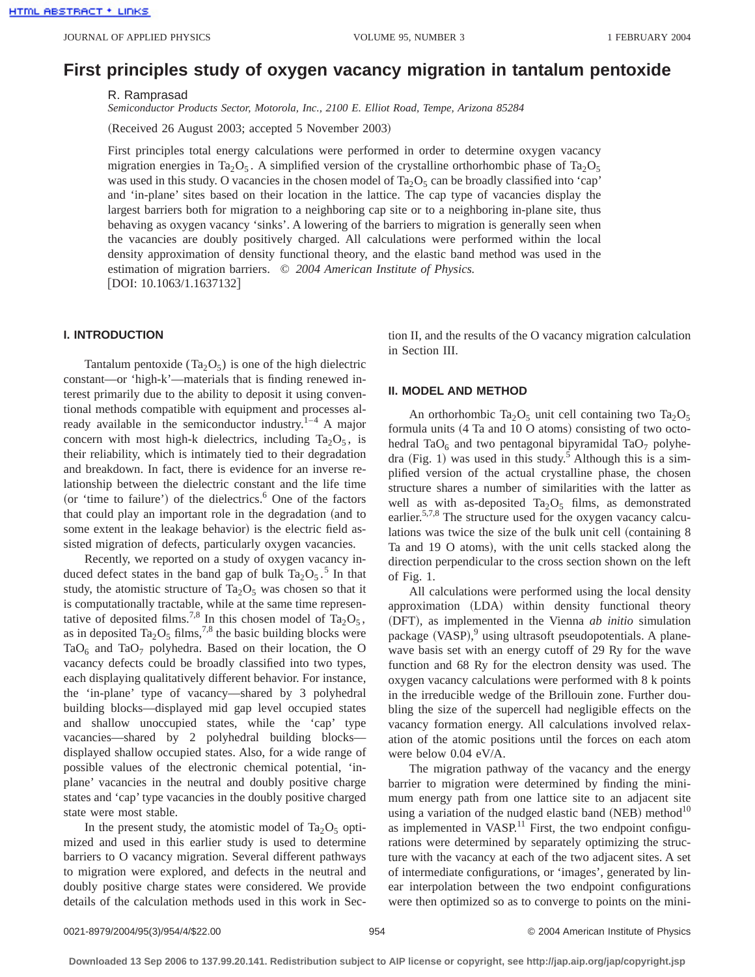# **First principles study of oxygen vacancy migration in tantalum pentoxide**

R. Ramprasad

*Semiconductor Products Sector, Motorola, Inc., 2100 E. Elliot Road, Tempe, Arizona 85284*

(Received 26 August 2003; accepted 5 November 2003)

First principles total energy calculations were performed in order to determine oxygen vacancy migration energies in Ta<sub>2</sub>O<sub>5</sub>. A simplified version of the crystalline orthorhombic phase of Ta<sub>2</sub>O<sub>5</sub> was used in this study. O vacancies in the chosen model of Ta<sub>2</sub>O<sub>5</sub> can be broadly classified into 'cap' and 'in-plane' sites based on their location in the lattice. The cap type of vacancies display the largest barriers both for migration to a neighboring cap site or to a neighboring in-plane site, thus behaving as oxygen vacancy 'sinks'. A lowering of the barriers to migration is generally seen when the vacancies are doubly positively charged. All calculations were performed within the local density approximation of density functional theory, and the elastic band method was used in the estimation of migration barriers. © *2004 American Institute of Physics.* [DOI: 10.1063/1.1637132]

# **I. INTRODUCTION**

Tantalum pentoxide (Ta<sub>2</sub>O<sub>5</sub>) is one of the high dielectric constant—or 'high-k'—materials that is finding renewed interest primarily due to the ability to deposit it using conventional methods compatible with equipment and processes already available in the semiconductor industry.<sup>1–4</sup> A major concern with most high-k dielectrics, including  $Ta_2O_5$ , is their reliability, which is intimately tied to their degradation and breakdown. In fact, there is evidence for an inverse relationship between the dielectric constant and the life time (or 'time to failure') of the dielectrics. $6$  One of the factors that could play an important role in the degradation (and to some extent in the leakage behavior) is the electric field assisted migration of defects, particularly oxygen vacancies.

Recently, we reported on a study of oxygen vacancy induced defect states in the band gap of bulk  $Ta_2O_5$ .<sup>5</sup> In that study, the atomistic structure of  $Ta_2O_5$  was chosen so that it is computationally tractable, while at the same time representative of deposited films.<sup>7,8</sup> In this chosen model of Ta<sub>2</sub>O<sub>5</sub>, as in deposited Ta<sub>2</sub>O<sub>5</sub> films,<sup>7,8</sup> the basic building blocks were TaO<sub>6</sub> and TaO<sub>7</sub> polyhedra. Based on their location, the O vacancy defects could be broadly classified into two types, each displaying qualitatively different behavior. For instance, the 'in-plane' type of vacancy—shared by 3 polyhedral building blocks—displayed mid gap level occupied states and shallow unoccupied states, while the 'cap' type vacancies—shared by 2 polyhedral building blocks displayed shallow occupied states. Also, for a wide range of possible values of the electronic chemical potential, 'inplane' vacancies in the neutral and doubly positive charge states and 'cap' type vacancies in the doubly positive charged state were most stable.

In the present study, the atomistic model of  $Ta_2O_5$  optimized and used in this earlier study is used to determine barriers to O vacancy migration. Several different pathways to migration were explored, and defects in the neutral and doubly positive charge states were considered. We provide details of the calculation methods used in this work in Section II, and the results of the O vacancy migration calculation in Section III.

## **II. MODEL AND METHOD**

An orthorhombic Ta<sub>2</sub>O<sub>5</sub> unit cell containing two Ta<sub>2</sub>O<sub>5</sub> formula units  $(4$  Ta and 10 O atoms) consisting of two octohedral TaO $_6$  and two pentagonal bipyramidal TaO $_7$  polyhedra  $(Fig. 1)$  was used in this study.<sup>5</sup> Although this is a simplified version of the actual crystalline phase, the chosen structure shares a number of similarities with the latter as well as with as-deposited  $Ta_2O_5$  films, as demonstrated earlier.<sup>5,7,8</sup> The structure used for the oxygen vacancy calculations was twice the size of the bulk unit cell (containing  $8$ Ta and 19 O atoms), with the unit cells stacked along the direction perpendicular to the cross section shown on the left of Fig. 1.

All calculations were performed using the local density approximation (LDA) within density functional theory (DFT), as implemented in the Vienna *ab initio* simulation package (VASP),<sup>9</sup> using ultrasoft pseudopotentials. A planewave basis set with an energy cutoff of 29 Ry for the wave function and 68 Ry for the electron density was used. The oxygen vacancy calculations were performed with 8 k points in the irreducible wedge of the Brillouin zone. Further doubling the size of the supercell had negligible effects on the vacancy formation energy. All calculations involved relaxation of the atomic positions until the forces on each atom were below 0.04 eV/A.

The migration pathway of the vacancy and the energy barrier to migration were determined by finding the minimum energy path from one lattice site to an adjacent site using a variation of the nudged elastic band (NEB) method<sup>10</sup> as implemented in VASP. $^{11}$  First, the two endpoint configurations were determined by separately optimizing the structure with the vacancy at each of the two adjacent sites. A set of intermediate configurations, or 'images', generated by linear interpolation between the two endpoint configurations were then optimized so as to converge to points on the mini-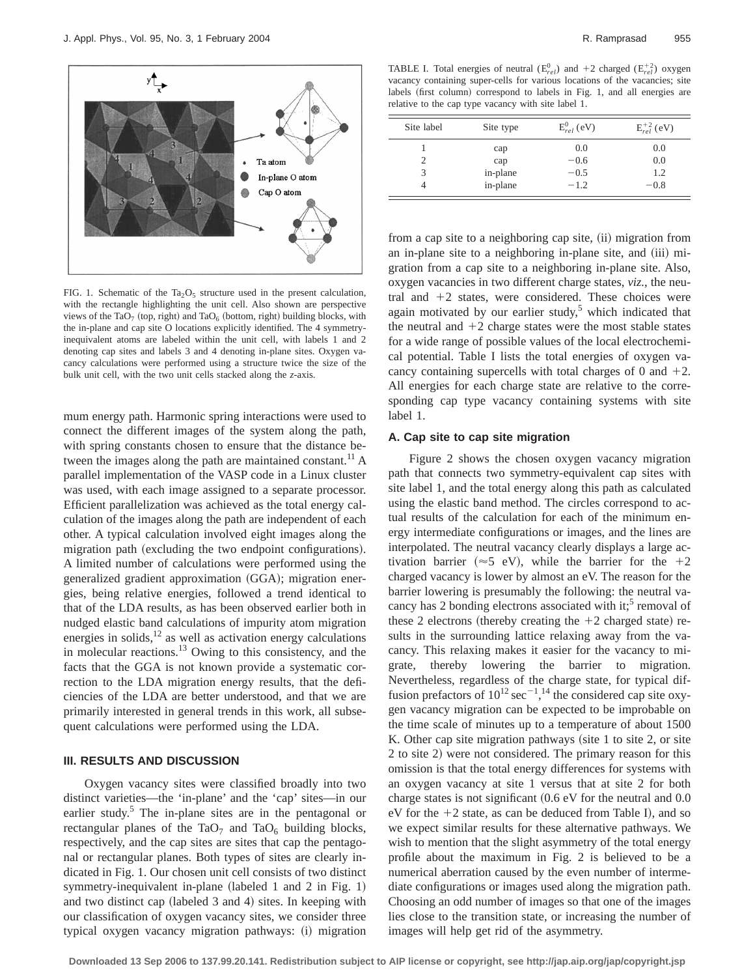

FIG. 1. Schematic of the Ta<sub>2</sub>O<sub>5</sub> structure used in the present calculation, with the rectangle highlighting the unit cell. Also shown are perspective views of the TaO<sub>7</sub> (top, right) and TaO<sub>6</sub> (bottom, right) building blocks, with the in-plane and cap site O locations explicitly identified. The 4 symmetryinequivalent atoms are labeled within the unit cell, with labels 1 and 2 denoting cap sites and labels 3 and 4 denoting in-plane sites. Oxygen vacancy calculations were performed using a structure twice the size of the bulk unit cell, with the two unit cells stacked along the *z*-axis.

mum energy path. Harmonic spring interactions were used to connect the different images of the system along the path, with spring constants chosen to ensure that the distance between the images along the path are maintained constant.<sup>11</sup> A parallel implementation of the VASP code in a Linux cluster was used, with each image assigned to a separate processor. Efficient parallelization was achieved as the total energy calculation of the images along the path are independent of each other. A typical calculation involved eight images along the migration path (excluding the two endpoint configurations). A limited number of calculations were performed using the generalized gradient approximation (GGA); migration energies, being relative energies, followed a trend identical to that of the LDA results, as has been observed earlier both in nudged elastic band calculations of impurity atom migration energies in solids, $12$  as well as activation energy calculations in molecular reactions.13 Owing to this consistency, and the facts that the GGA is not known provide a systematic correction to the LDA migration energy results, that the deficiencies of the LDA are better understood, and that we are primarily interested in general trends in this work, all subsequent calculations were performed using the LDA.

#### **III. RESULTS AND DISCUSSION**

Oxygen vacancy sites were classified broadly into two distinct varieties—the 'in-plane' and the 'cap' sites—in our earlier study.<sup>5</sup> The in-plane sites are in the pentagonal or rectangular planes of the TaO<sub>7</sub> and TaO<sub>6</sub> building blocks, respectively, and the cap sites are sites that cap the pentagonal or rectangular planes. Both types of sites are clearly indicated in Fig. 1. Our chosen unit cell consists of two distinct symmetry-inequivalent in-plane (labeled 1 and 2 in Fig. 1) and two distinct cap (labeled  $3$  and  $4$ ) sites. In keeping with our classification of oxygen vacancy sites, we consider three typical oxygen vacancy migration pathways: (i) migration

TABLE I. Total energies of neutral  $(E_{rel}^0)$  and  $+2$  charged  $(E_{rel}^{+2})$  oxygen vacancy containing super-cells for various locations of the vacancies; site labels (first column) correspond to labels in Fig. 1, and all energies are relative to the cap type vacancy with site label 1.

| Site label | Site type | $E_{rel}^{0}$ (eV) | $E_{rel}^{+2}$ (eV) |
|------------|-----------|--------------------|---------------------|
|            | cap       | 0.0                | 0.0                 |
|            | cap       | $-0.6$             | 0.0                 |
| 3          | in-plane  | $-0.5$             | 1.2                 |
|            | in-plane  | $-1.2$             | $-0.8$              |

from a cap site to a neighboring cap site, (ii) migration from an in-plane site to a neighboring in-plane site, and (iii) migration from a cap site to a neighboring in-plane site. Also, oxygen vacancies in two different charge states, *viz.*, the neutral and  $+2$  states, were considered. These choices were again motivated by our earlier study, $5$  which indicated that the neutral and  $+2$  charge states were the most stable states for a wide range of possible values of the local electrochemical potential. Table I lists the total energies of oxygen vacancy containing supercells with total charges of 0 and  $+2$ . All energies for each charge state are relative to the corresponding cap type vacancy containing systems with site label 1.

### **A. Cap site to cap site migration**

Figure 2 shows the chosen oxygen vacancy migration path that connects two symmetry-equivalent cap sites with site label 1, and the total energy along this path as calculated using the elastic band method. The circles correspond to actual results of the calculation for each of the minimum energy intermediate configurations or images, and the lines are interpolated. The neutral vacancy clearly displays a large activation barrier ( $\approx$ 5 eV), while the barrier for the +2 charged vacancy is lower by almost an eV. The reason for the barrier lowering is presumably the following: the neutral vacancy has 2 bonding electrons associated with it;<sup>5</sup> removal of these 2 electrons (thereby creating the  $+2$  charged state) results in the surrounding lattice relaxing away from the vacancy. This relaxing makes it easier for the vacancy to migrate, thereby lowering the barrier to migration. Nevertheless, regardless of the charge state, for typical diffusion prefactors of  $10^{12}$  sec<sup>-1</sup>,<sup>14</sup> the considered cap site oxygen vacancy migration can be expected to be improbable on the time scale of minutes up to a temperature of about 1500 K. Other cap site migration pathways (site  $1$  to site  $2$ , or site 2 to site 2) were not considered. The primary reason for this omission is that the total energy differences for systems with an oxygen vacancy at site 1 versus that at site 2 for both charge states is not significant  $(0.6 \text{ eV}$  for the neutral and  $0.0$ eV for the  $+2$  state, as can be deduced from Table I), and so we expect similar results for these alternative pathways. We wish to mention that the slight asymmetry of the total energy profile about the maximum in Fig. 2 is believed to be a numerical aberration caused by the even number of intermediate configurations or images used along the migration path. Choosing an odd number of images so that one of the images lies close to the transition state, or increasing the number of images will help get rid of the asymmetry.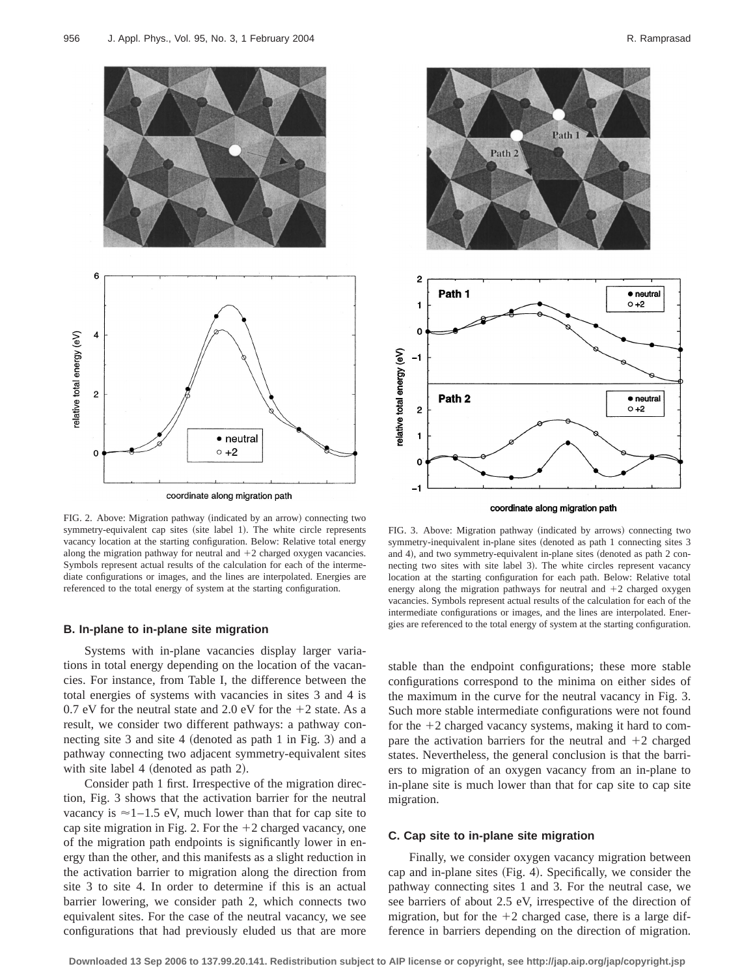

FIG. 2. Above: Migration pathway (indicated by an arrow) connecting two symmetry-equivalent cap sites (site label 1). The white circle represents vacancy location at the starting configuration. Below: Relative total energy along the migration pathway for neutral and  $+2$  charged oxygen vacancies. Symbols represent actual results of the calculation for each of the intermediate configurations or images, and the lines are interpolated. Energies are referenced to the total energy of system at the starting configuration.

#### **B. In-plane to in-plane site migration**

Systems with in-plane vacancies display larger variations in total energy depending on the location of the vacancies. For instance, from Table I, the difference between the total energies of systems with vacancies in sites 3 and 4 is 0.7 eV for the neutral state and 2.0 eV for the  $+2$  state. As a result, we consider two different pathways: a pathway connecting site  $3$  and site  $4$  (denoted as path 1 in Fig. 3) and a pathway connecting two adjacent symmetry-equivalent sites with site label  $4$  (denoted as path 2).

Consider path 1 first. Irrespective of the migration direction, Fig. 3 shows that the activation barrier for the neutral vacancy is  $\approx$  1–1.5 eV, much lower than that for cap site to cap site migration in Fig. 2. For the  $+2$  charged vacancy, one of the migration path endpoints is significantly lower in energy than the other, and this manifests as a slight reduction in the activation barrier to migration along the direction from site 3 to site 4. In order to determine if this is an actual barrier lowering, we consider path 2, which connects two equivalent sites. For the case of the neutral vacancy, we see configurations that had previously eluded us that are more



coordinate along migration path

FIG. 3. Above: Migration pathway (indicated by arrows) connecting two symmetry-inequivalent in-plane sites (denoted as path 1 connecting sites 3 and 4), and two symmetry-equivalent in-plane sites (denoted as path 2 connecting two sites with site label 3). The white circles represent vacancy location at the starting configuration for each path. Below: Relative total energy along the migration pathways for neutral and  $+2$  charged oxygen vacancies. Symbols represent actual results of the calculation for each of the intermediate configurations or images, and the lines are interpolated. Energies are referenced to the total energy of system at the starting configuration.

stable than the endpoint configurations; these more stable configurations correspond to the minima on either sides of the maximum in the curve for the neutral vacancy in Fig. 3. Such more stable intermediate configurations were not found for the  $+2$  charged vacancy systems, making it hard to compare the activation barriers for the neutral and  $+2$  charged states. Nevertheless, the general conclusion is that the barriers to migration of an oxygen vacancy from an in-plane to in-plane site is much lower than that for cap site to cap site migration.

## **C. Cap site to in-plane site migration**

Finally, we consider oxygen vacancy migration between cap and in-plane sites (Fig. 4). Specifically, we consider the pathway connecting sites 1 and 3. For the neutral case, we see barriers of about 2.5 eV, irrespective of the direction of migration, but for the  $+2$  charged case, there is a large difference in barriers depending on the direction of migration.